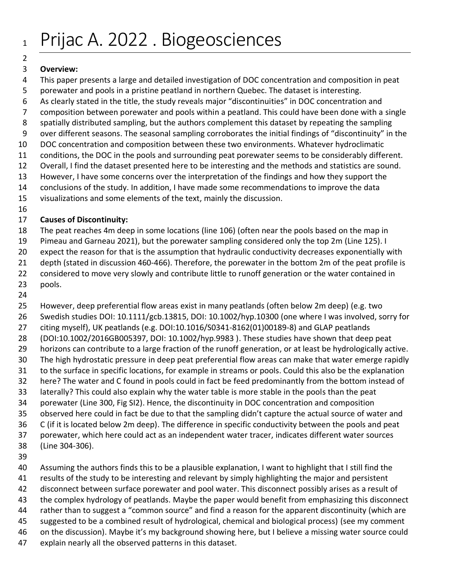## 

#### **Overview:**

- This paper presents a large and detailed investigation of DOC concentration and composition in peat
- porewater and pools in a pristine peatland in northern Quebec. The dataset is interesting.
- As clearly stated in the title, the study reveals major "discontinuities" in DOC concentration and
- composition between porewater and pools within a peatland. This could have been done with a single
- spatially distributed sampling, but the authors complement this dataset by repeating the sampling
- over different seasons. The seasonal sampling corroborates the initial findings of "discontinuity" in the
- DOC concentration and composition between these two environments. Whatever hydroclimatic
- conditions, the DOC in the pools and surrounding peat porewater seems to be considerably different.
- Overall, I find the dataset presented here to be interesting and the methods and statistics are sound.
- However, I have some concerns over the interpretation of the findings and how they support the
- conclusions of the study. In addition, I have made some recommendations to improve the data
- visualizations and some elements of the text, mainly the discussion.
- 

## **Causes of Discontinuity:**

- The peat reaches 4m deep in some locations (line 106) (often near the pools based on the map in
- Pimeau and Garneau 2021), but the porewater sampling considered only the top 2m (Line 125). I
- expect the reason for that is the assumption that hydraulic conductivity decreases exponentially with
- depth (stated in discussion 460-466). Therefore, the porewater in the bottom 2m of the peat profile is
- 22 considered to move very slowly and contribute little to runoff generation or the water contained in pools.
- 

 However, deep preferential flow areas exist in many peatlands (often below 2m deep) (e.g. two Swedish studies DOI: 10.1111/gcb.13815, DOI: 10.1002/hyp.10300 (one where I was involved, sorry for citing myself), UK peatlands (e.g[. DOI:10.1016/S0341-8162\(01\)00189-8\)](https://doi.org/10.1016/S0341-8162(01)00189-8) and GLAP peatlands (DOI:10.1002/2016GB005397, DOI: 10.1002/hyp.9983 ). These studies have shown that deep peat horizons can contribute to a large fraction of the runoff generation, or at least be hydrologically active. The high hydrostatic pressure in deep peat preferential flow areas can make that water emerge rapidly to the surface in specific locations, for example in streams or pools. Could this also be the explanation here? The water and C found in pools could in fact be feed predominantly from the bottom instead of laterally? This could also explain why the water table is more stable in the pools than the peat porewater (Line 300, Fig SI2). Hence, the discontinuity in DOC concentration and composition observed here could in fact be due to that the sampling didn't capture the actual source of water and C (if it is located below 2m deep). The difference in specific conductivity between the pools and peat porewater, which here could act as an independent water tracer, indicates different water sources (Line 304-306).

 Assuming the authors finds this to be a plausible explanation, I want to highlight that I still find the results of the study to be interesting and relevant by simply highlighting the major and persistent disconnect between surface porewater and pool water. This disconnect possibly arises as a result of the complex hydrology of peatlands. Maybe the paper would benefit from emphasizing this disconnect rather than to suggest a "common source" and find a reason for the apparent discontinuity (which are suggested to be a combined result of hydrological, chemical and biological process) (see my comment on the discussion). Maybe it's my background showing here, but I believe a missing water source could explain nearly all the observed patterns in this dataset.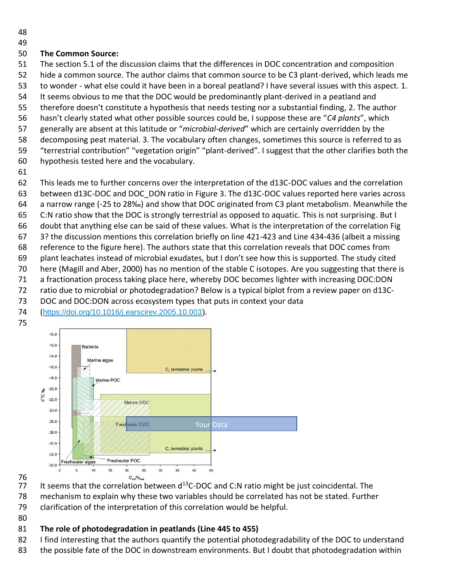### **The Common Source:**

 The section 5.1 of the discussion claims that the differences in DOC concentration and composition hide a common source. The author claims that common source to be C3 plant-derived, which leads me to wonder - what else could it have been in a boreal peatland? I have several issues with this aspect. 1. It seems obvious to me that the DOC would be predominantly plant-derived in a peatland and therefore doesn't constitute a hypothesis that needs testing nor a substantial finding, 2. The author hasn't clearly stated what other possible sources could be, I suppose these are "*C4 plants*", which

- generally are absent at this latitude or "*microbial-derived*" which are certainly overridden by the
- decomposing peat material. 3. The vocabulary often changes, sometimes this source is referred to as
- "terrestrial contribution" "vegetation origin" "plant-derived". I suggest that the other clarifies both the
- hypothesis tested here and the vocabulary.
- 

This leads me to further concerns over the interpretation of the d13C-DOC values and the correlation

- between d13C-DOC and DOC\_DON ratio in Figure 3. The d13C-DOC values reported here varies across a narrow range (-25 to 28‰) and show that DOC originated from C3 plant metabolism. Meanwhile the
- 
- C:N ratio show that the DOC is strongly terrestrial as opposed to aquatic. This is not surprising. But I doubt that anything else can be said of these values. What is the interpretation of the correlation Fig
- 
- 3? the discussion mentions this correlation briefly on line 421-423 and Line 434-436 (albeit a missing reference to the figure here). The authors state that this correlation reveals that DOC comes from plant leachates instead of microbial exudates, but I don't see how this is supported. The study cited here (Magill and Aber, 2000) has no mention of the stable C isotopes. Are you suggesting that there is
- a fractionation process taking place here, whereby DOC becomes lighter with increasing DOC:DON
- ratio due to microbial or photodegradation? Below is a typical biplot from a review paper on d13C-
- DOC and DOC:DON across ecosystem types that puts in context your data
- (<https://doi.org/10.1016/j.earscirev.2005.10.003>).
- 





76<br>77 It seems that the correlation between  $d^{13}C-DOC$  and C:N ratio might be just coincidental. The mechanism to explain why these two variables should be correlated has not be stated. Further clarification of the interpretation of this correlation would be helpful.

# **The role of photodegradation in peatlands (Line 445 to 455)**

- 82 I find interesting that the authors quantify the potential photodegradability of the DOC to understand
- 83 the possible fate of the DOC in downstream environments. But I doubt that photodegradation within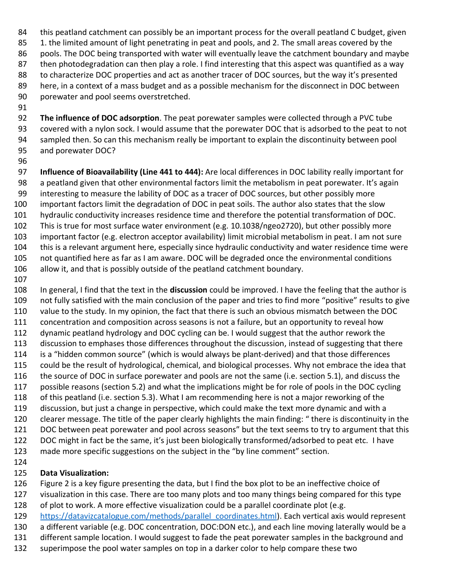84 this peatland catchment can possibly be an important process for the overall peatland C budget, given 85 1. the limited amount of light penetrating in peat and pools, and 2. The small areas covered by the pools. The DOC being transported with water will eventually leave the catchment boundary and maybe 87 then photodegradation can then play a role. I find interesting that this aspect was quantified as a way to characterize DOC properties and act as another tracer of DOC sources, but the way it's presented here, in a context of a mass budget and as a possible mechanism for the disconnect in DOC between porewater and pool seems overstretched. 

- **The influence of DOC adsorption**. The peat porewater samples were collected through a PVC tube covered with a nylon sock. I would assume that the porewater DOC that is adsorbed to the peat to not sampled then. So can this mechanism really be important to explain the discontinuity between pool and porewater DOC?
- 

 **Influence of Bioavailability (Line 441 to 444):** Are local differences in DOC lability really important for a peatland given that other environmental factors limit the metabolism in peat porewater. It's again interesting to measure the lability of DOC as a tracer of DOC sources, but other possibly more important factors limit the degradation of DOC in peat soils. The author also states that the slow hydraulic conductivity increases residence time and therefore the potential transformation of DOC. This is true for most surface water environment (e.g. 10.1038/ngeo2720), but other possibly more important factor (e.g. electron acceptor availability) limit microbial metabolism in peat. I am not sure this is a relevant argument here, especially since hydraulic conductivity and water residence time were not quantified here as far as I am aware. DOC will be degraded once the environmental conditions allow it, and that is possibly outside of the peatland catchment boundary.

 In general, I find that the text in the **discussion** could be improved. I have the feeling that the author is not fully satisfied with the main conclusion of the paper and tries to find more "positive" results to give value to the study. In my opinion, the fact that there is such an obvious mismatch between the DOC 111 concentration and composition across seasons is not a failure, but an opportunity to reveal how dynamic peatland hydrology and DOC cycling can be. I would suggest that the author rework the discussion to emphases those differences throughout the discussion, instead of suggesting that there is a "hidden common source" (which is would always be plant-derived) and that those differences could be the result of hydrological, chemical, and biological processes. Why not embrace the idea that the source of DOC in surface porewater and pools are not the same (i.e. section 5.1), and discuss the possible reasons (section 5.2) and what the implications might be for role of pools in the DOC cycling of this peatland (i.e. section 5.3). What I am recommending here is not a major reworking of the discussion, but just a change in perspective, which could make the text more dynamic and with a clearer message. The title of the paper clearly highlights the main finding: " there is discontinuity in the DOC between peat porewater and pool across seasons" but the text seems to try to argument that this DOC might in fact be the same, it's just been biologically transformed/adsorbed to peat etc. I have made more specific suggestions on the subject in the "by line comment" section.

## **Data Visualization:**

Figure 2 is a key figure presenting the data, but I find the box plot to be an ineffective choice of

 visualization in this case. There are too many plots and too many things being compared for this type of plot to work. A more effective visualization could be a parallel coordinate plot (e.g.

- [https://datavizcatalogue.com/methods/parallel\\_coordinates.html\)](https://datavizcatalogue.com/methods/parallel_coordinates.html). Each vertical axis would represent
- a different variable (e.g. DOC concentration, DOC:DON etc.), and each line moving laterally would be a
- different sample location. I would suggest to fade the peat porewater samples in the background and
- superimpose the pool water samples on top in a darker color to help compare these two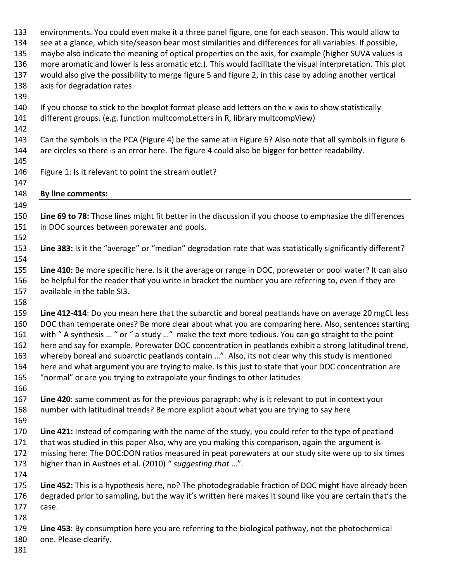environments. You could even make it a three panel figure, one for each season. This would allow to see at a glance, which site/season bear most similarities and differences for all variables. If possible, maybe also indicate the meaning of optical properties on the axis, for example (higher SUVA values is more aromatic and lower is less aromatic etc.). This would facilitate the visual interpretation. This plot would also give the possibility to merge figure 5 and figure 2, in this case by adding another vertical axis for degradation rates. If you choose to stick to the boxplot format please add letters on the x-axis to show statistically different groups. (e.g. function multcompLetters in R, library multcompView) Can the symbols in the PCA (Figure 4) be the same at in Figure 6? Also note that all symbols in figure 6 144 are circles so there is an error here. The figure 4 could also be bigger for better readability. Figure 1: Is it relevant to point the stream outlet? **By line comments: Line 69 to 78:** Those lines might fit better in the discussion if you choose to emphasize the differences in DOC sources between porewater and pools. **Line 383:** Is it the "average" or "median" degradation rate that was statistically significantly different? **Line 410:** Be more specific here. Is it the average or range in DOC, porewater or pool water? It can also be helpful for the reader that you write in bracket the number you are referring to, even if they are available in the table SI3. **Line 412-414**: Do you mean here that the subarctic and boreal peatlands have on average 20 mgCL less DOC than temperate ones? Be more clear about what you are comparing here. Also, sentences starting with " A synthesis … " or " a study …" make the text more tedious. You can go straight to the point here and say for example. Porewater DOC concentration in peatlands exhibit a strong latitudinal trend, whereby boreal and subarctic peatlands contain …". Also, its not clear why this study is mentioned here and what argument you are trying to make. Is this just to state that your DOC concentration are "normal" or are you trying to extrapolate your findings to other latitudes **Line 420**: same comment as for the previous paragraph: why is it relevant to put in context your number with latitudinal trends? Be more explicit about what you are trying to say here **Line 421:** Instead of comparing with the name of the study, you could refer to the type of peatland that was studied in this paper Also, why are you making this comparison, again the argument is missing here: The DOC:DON ratios measured in peat porewaters at our study site were up to six times higher than in Austnes et al. (2010) " *suggesting that* …". **Line 452:** This is a hypothesis here, no? The photodegradable fraction of DOC might have already been degraded prior to sampling, but the way it's written here makes it sound like you are certain that's the case. **Line 453**: By consumption here you are referring to the biological pathway, not the photochemical one. Please clearify.